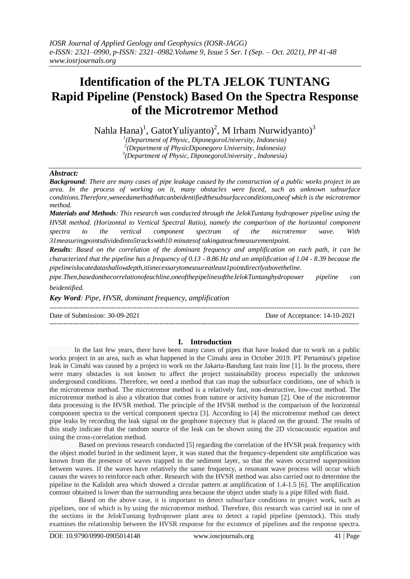# **Identification of the PLTA JELOK TUNTANG Rapid Pipeline (Penstock) Based On the Spectra Response of the Microtremor Method**

Nahla Hana)<sup>1</sup>, GatotYuliyanto)<sup>2</sup>, M Irham Nurwidyanto)<sup>3</sup>

*1 (Department of Physic, DiponegoroUniversity, Indonesia) 2 (Department of PhysicDiponegoro University, Indonesia) 3 (Department of Physic, DiponegoroUniversity , Indonesia)*

## *Abstract:*

*Background: There are many cases of pipe leakage caused by the construction of a public works project in an area. In the process of working on it, many obstacles were faced, such as unknown subsurface conditions.Therefore,weneedamethodthatcanbeidentifiedthesubsurfaceconditions,oneof which is the microtremor method.*

*Materials and Methods: This research was conducted through the JelokTuntang hydropower pipeline using the HVSR method. (Horizontal to Vertical Spectral Ratio), namely the comparison of the horizontal component spectra to the vertical component spectrum of the microtremor wave. With 31measuringpointsdividedinto5trackswith10 minutesof takingateachmeasurementpoint.*

*Results: Based on the correlation of the dominant frequency and amplification on each path, it can be characterized that the pipeline has a frequency of 0.13 - 8.86 Hz and an amplification of 1.04 - 8.39 because the pipelineislocatedatashallowdepth,itisnecessarytomeasureatleast1pointdirectlyabovetheline.* 

*pipe.Then,basedonthecorrelationofeachline,oneofthepipelinesoftheJelokTuntanghydropower pipeline can beidentified.*

*Key Word: Pipe, HVSR, dominant frequency, amplification*

--------------------------------------------------------------------------------------------------------------------------------------- Date of Submission: 30-09-2021 Date of Acceptance: 14-10-2021 ---------------------------------------------------------------------------------------------------------------------------------------

## **I. Introduction**

In the last few years, there have been many cases of pipes that have leaked due to work on a public works project in an area, such as what happened in the Cimahi area in October 2019. PT Pertamina's pipeline leak in Cimahi was caused by a project to work on the Jakarta-Bandung fast train line [1]. In the process, there were many obstacles is not known to affect the project sustainability process especially the unknown underground conditions. Therefore, we need a method that can map the subsurface conditions, one of which is the microtremor method. The microtremor method is a relatively fast, non-destructive, low-cost method. The microtremor method is also a vibration that comes from nature or activity human [2]. One of the microtremor data processing is the HVSR method. The principle of the HVSR method is the comparison of the horizontal component spectra to the vertical component spectra [3]. According to [4] the microtremor method can detect pipe leaks by recording the leak signal on the geophone trajectory that is placed on the ground. The results of this study indicate that the random source of the leak can be shown using the 2D vicoacoustic equation and using the cross-correlation method.

Based on previous research conducted [5] regarding the correlation of the HVSR peak frequency with the object model buried in the sediment layer, it was stated that the frequency-dependent site amplification was known from the presence of waves trapped in the sediment layer, so that the waves occurred superposition between waves. If the waves have relatively the same frequency, a resonant wave process will occur which causes the waves to reinforce each other. Research with the HVSR method was also carried out to determine the pipeline in the Kalidoh area which showed a circular pattern at amplification of 1.4-1.5 [6]. The amplification contour obtained is lower than the surrounding area because the object under study is a pipe filled with fluid.

Based on the above case, it is important to detect subsurface conditions in project work, such as pipelines, one of which is by using the microtremor method. Therefore, this research was carried out in one of the sections in the JelokTuntang hydropower plant area to detect a rapid pipeline (penstock). This study examines the relationship between the HVSR response for the existence of pipelines and the response spectra.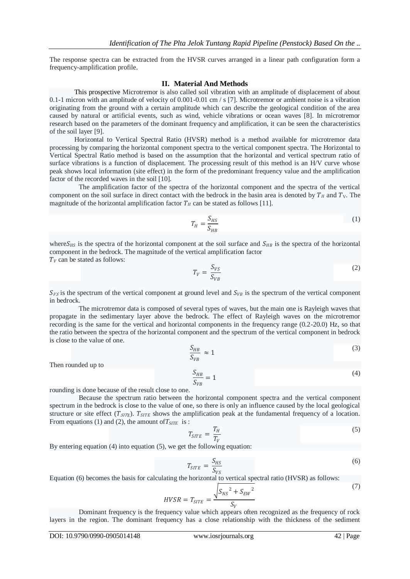The response spectra can be extracted from the HVSR curves arranged in a linear path configuration form a frequency-amplification profile.

#### **II. Material And Methods**

This prospective Microtremor is also called soil vibration with an amplitude of displacement of about 0.1-1 micron with an amplitude of velocity of 0.001-0.01 cm / s [7]. Microtremor or ambient noise is a vibration originating from the ground with a certain amplitude which can describe the geological condition of the area caused by natural or artificial events, such as wind, vehicle vibrations or ocean waves [8]. In microtremor research based on the parameters of the dominant frequency and amplification, it can be seen the characteristics of the soil layer [9].

Horizontal to Vertical Spectral Ratio (HVSR) method is a method available for microtremor data processing by comparing the horizontal component spectra to the vertical component spectra. The Horizontal to Vertical Spectral Ratio method is based on the assumption that the horizontal and vertical spectrum ratio of surface vibrations is a function of displacement. The processing result of this method is an H/V curve whose peak shows local information (site effect) in the form of the predominant frequency value and the amplification factor of the recorded waves in the soil [10].

The amplification factor of the spectra of the horizontal component and the spectra of the vertical component on the soil surface in direct contact with the bedrock in the basin area is denoted by  $T_H$  and  $T_V$ . The magnitude of the horizontal amplification factor  $T_H$  can be stated as follows [11].

$$
T_H = \frac{S_{HS}}{S_{HB}}\tag{1}
$$

where  $S_{HS}$  is the spectra of the horizontal component at the soil surface and  $S_{HB}$  is the spectra of the horizontal component in the bedrock. The magnitude of the vertical amplification factor  $T_V$  can be stated as follows:

$$
T_V = \frac{S_{VS}}{S_{VB}}\tag{2}
$$

 $S_{\nu s}$  is the spectrum of the vertical component at ground level and  $S_{\nu B}$  is the spectrum of the vertical component in bedrock.

The microtremor data is composed of several types of waves, but the main one is Rayleigh waves that propagate in the sedimentary layer above the bedrock. The effect of Rayleigh waves on the microtremor recording is the same for the vertical and horizontal components in the frequency range (0.2-20.0) Hz, so that the ratio between the spectra of the horizontal component and the spectrum of the vertical component in bedrock is close to the value of one.

$$
\frac{S_{HB}}{S_{VB}} \approx 1\tag{3}
$$

Then rounded up to

$$
\frac{S_{HB}}{S_{VB}} = 1\tag{4}
$$

rounding is done because of the result close to one.

Because the spectrum ratio between the horizontal component spectra and the vertical component spectrum in the bedrock is close to the value of one, so there is only an influence caused by the local geological structure or site effect  $(T_{\text{SATE}})$ .  $T_{\text{SITE}}$  shows the amplification peak at the fundamental frequency of a location. From equations (1) and (2), the amount of  $T_{STTE}$  is :

$$
T_{STTE} = \frac{T_H}{T_V} \tag{5}
$$

By entering equation (4) into equation (5), we get the following equation:

$$
T_{SITE} = \frac{S_{HS}}{S_{VS}}\tag{6}
$$

Equation (6) becomes the basis for calculating the horizontal to vertical spectral ratio (HVSR) as follows:

$$
HVSR = T_{STTE} = \frac{\sqrt{S_{NS}^2 + S_{EW}^2}}{S_V} \tag{7}
$$

Dominant frequency is the frequency value which appears often recognized as the frequency of rock layers in the region. The dominant frequency has a close relationship with the thickness of the sediment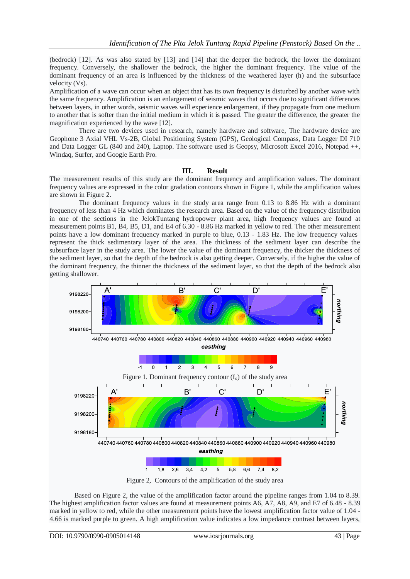(bedrock) [12]. As was also stated by [13] and [14] that the deeper the bedrock, the lower the dominant frequency. Conversely, the shallower the bedrock, the higher the dominant frequency. The value of the dominant frequency of an area is influenced by the thickness of the weathered layer (h) and the subsurface velocity (Vs).

Amplification of a wave can occur when an object that has its own frequency is disturbed by another wave with the same frequency. Amplification is an enlargement of seismic waves that occurs due to significant differences between layers, in other words, seismic waves will experience enlargement, if they propagate from one medium to another that is softer than the initial medium in which it is passed. The greater the difference, the greater the magnification experienced by the wave [12].

There are two devices used in research, namely hardware and software, The hardware device are Geophone 3 Axial VHL Vs-2B, Global Positioning System (GPS), Geological Compass, Data Logger DI 710 and Data Logger GL (840 and 240), Laptop. The software used is Geopsy, Microsoft Excel 2016, Notepad ++, Windaq, Surfer, and Google Earth Pro.

#### **III. Result**

The measurement results of this study are the dominant frequency and amplification values. The dominant frequency values are expressed in the color gradation contours shown in Figure 1, while the amplification values are shown in Figure 2.

The dominant frequency values in the study area range from 0.13 to 8.86 Hz with a dominant frequency of less than 4 Hz which dominates the research area. Based on the value of the frequency distribution in one of the sections in the JelokTuntang hydropower plant area, high frequency values are found at measurement points B1, B4, B5, D1, and E4 of 6.30 - 8.86 Hz marked in yellow to red. The other measurement points have a low dominant frequency marked in purple to blue, 0.13 - 1.83 Hz. The low frequency values represent the thick sedimentary layer of the area. The thickness of the sediment layer can describe the subsurface layer in the study area. The lower the value of the dominant frequency, the thicker the thickness of the sediment layer, so that the depth of the bedrock is also getting deeper. Conversely, if the higher the value of the dominant frequency, the thinner the thickness of the sediment layer, so that the depth of the bedrock also getting shallower.



Based on Figure 2, the value of the amplification factor around the pipeline ranges from 1.04 to 8.39. The highest amplification factor values are found at measurement points A6, A7, A8, A9, and E7 of 6.48 - 8.39 marked in yellow to red, while the other measurement points have the lowest amplification factor value of 1.04 - 4.66 is marked purple to green. A high amplification value indicates a low impedance contrast between layers,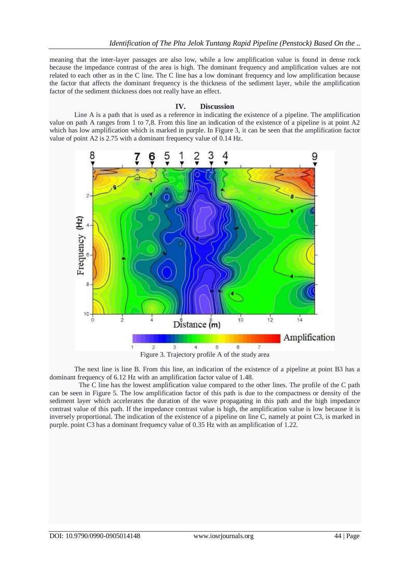meaning that the inter-layer passages are also low, while a low amplification value is found in dense rock because the impedance contrast of the area is high. The dominant frequency and amplification values are not related to each other as in the C line. The C line has a low dominant frequency and low amplification because the factor that affects the dominant frequency is the thickness of the sediment layer, while the amplification factor of the sediment thickness does not really have an effect.

#### **IV. Discussion**

Line A is a path that is used as a reference in indicating the existence of a pipeline. The amplification value on path A ranges from 1 to 7,8. From this line an indication of the existence of a pipeline is at point A2 which has low amplification which is marked in purple. In Figure 3, it can be seen that the amplification factor value of point A2 is 2.75 with a dominant frequency value of 0.14 Hz.



The next line is line B. From this line, an indication of the existence of a pipeline at point B3 has a dominant frequency of 6.12 Hz with an amplification factor value of 1.48.

The C line has the lowest amplification value compared to the other lines. The profile of the C path can be seen in Figure 5. The low amplification factor of this path is due to the compactness or density of the sediment layer which accelerates the duration of the wave propagating in this path and the high impedance contrast value of this path. If the impedance contrast value is high, the amplification value is low because it is inversely proportional. The indication of the existence of a pipeline on line C, namely at point C3, is marked in purple. point C3 has a dominant frequency value of 0.35 Hz with an amplification of 1.22.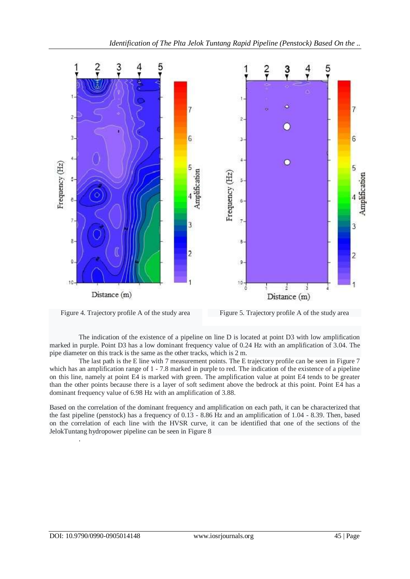

Figure 4. Trajectory profile A of the study area Figure 5. Trajectory profile A of the study area

The indication of the existence of a pipeline on line D is located at point D3 with low amplification marked in purple. Point D3 has a low dominant frequency value of 0.24 Hz with an amplification of 3.04. The pipe diameter on this track is the same as the other tracks, which is 2 m.

The last path is the E line with 7 measurement points. The E trajectory profile can be seen in Figure 7 which has an amplification range of 1 - 7.8 marked in purple to red. The indication of the existence of a pipeline on this line, namely at point E4 is marked with green. The amplification value at point E4 tends to be greater than the other points because there is a layer of soft sediment above the bedrock at this point. Point E4 has a dominant frequency value of 6.98 Hz with an amplification of 3.88.

Based on the correlation of the dominant frequency and amplification on each path, it can be characterized that the fast pipeline (penstock) has a frequency of 0.13 - 8.86 Hz and an amplification of 1.04 - 8.39. Then, based on the correlation of each line with the HVSR curve, it can be identified that one of the sections of the JelokTuntang hydropower pipeline can be seen in Figure 8

.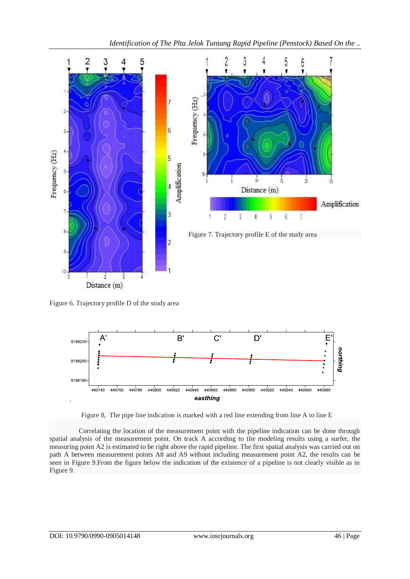

3

 $\overline{2}$ 

Figure 7. Trajectory profile E of the study area

 $\overline{4}$ 

 $\delta$ 

6

 $\overline{7}$ 

 $\hat{c}$ 

3

Figure 6. Trajectory profile D of the study area

 $\frac{1}{3}$ 

 $\frac{1}{2}$ 

Distance (m)

10





Correlating the location of the measurement point with the pipeline indication can be done through spatial analysis of the measurement point. On track A according to the modeling results using a surfer, the measuring point A2 is estimated to be right above the rapid pipeline. The first spatial analysis was carried out on path A between measurement points A8 and A9 without including measurement point A2, the results can be seen in Figure 9.From the figure below the indication of the existence of a pipeline is not clearly visible as in Figure 9.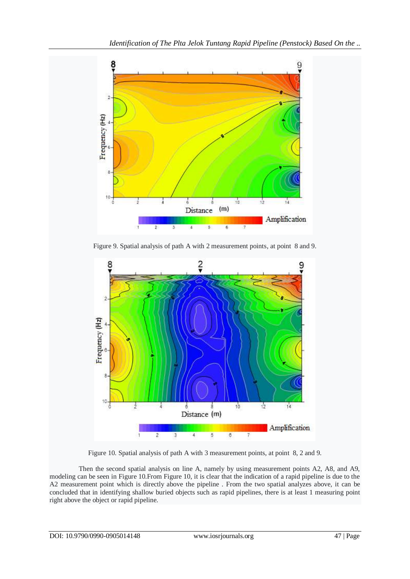

Figure 9. Spatial analysis of path A with 2 measurement points, at point 8 and 9.



Figure 10. Spatial analysis of path A with 3 measurement points, at point 8, 2 and 9.

Then the second spatial analysis on line A, namely by using measurement points A2, A8, and A9, modeling can be seen in Figure 10.From Figure 10, it is clear that the indication of a rapid pipeline is due to the A2 measurement point which is directly above the pipeline . From the two spatial analyzes above, it can be concluded that in identifying shallow buried objects such as rapid pipelines, there is at least 1 measuring point right above the object or rapid pipeline.